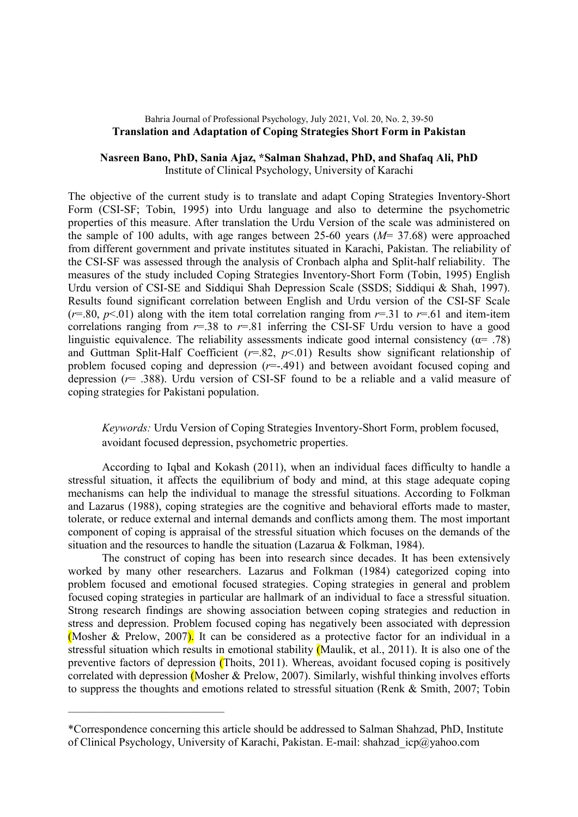## Bahria Journal of Professional Psychology, July 2021, Vol. 20, No. 2, 39-50 Translation and Adaptation of Coping Strategies Short Form in Pakistan

## Nasreen Bano, PhD, Sania Ajaz, \*Salman Shahzad, PhD, and Shafaq Ali, PhD Institute of Clinical Psychology, University of Karachi

The objective of the current study is to translate and adapt Coping Strategies Inventory-Short Form (CSI-SF; Tobin, 1995) into Urdu language and also to determine the psychometric properties of this measure. After translation the Urdu Version of the scale was administered on the sample of 100 adults, with age ranges between 25-60 years  $(M= 37.68)$  were approached from different government and private institutes situated in Karachi, Pakistan. The reliability of the CSI-SF was assessed through the analysis of Cronbach alpha and Split-half reliability. The measures of the study included Coping Strategies Inventory-Short Form (Tobin, 1995) English Urdu version of CSI-SE and Siddiqui Shah Depression Scale (SSDS; Siddiqui & Shah, 1997). Results found significant correlation between English and Urdu version of the CSI-SF Scale  $(r=.80, p<.01)$  along with the item total correlation ranging from  $r=.31$  to  $r=.61$  and item-item correlations ranging from  $r=38$  to  $r=81$  inferring the CSI-SF Urdu version to have a good linguistic equivalence. The reliability assessments indicate good internal consistency ( $\alpha$ = .78) and Guttman Split-Half Coefficient ( $r=82$ ,  $p<01$ ) Results show significant relationship of problem focused coping and depression  $(r=.491)$  and between avoidant focused coping and depression ( $r=$  .388). Urdu version of CSI-SF found to be a reliable and a valid measure of coping strategies for Pakistani population.

Keywords: Urdu Version of Coping Strategies Inventory-Short Form, problem focused, avoidant focused depression, psychometric properties.

According to Iqbal and Kokash (2011), when an individual faces difficulty to handle a stressful situation, it affects the equilibrium of body and mind, at this stage adequate coping mechanisms can help the individual to manage the stressful situations. According to Folkman and Lazarus (1988), coping strategies are the cognitive and behavioral efforts made to master, tolerate, or reduce external and internal demands and conflicts among them. The most important component of coping is appraisal of the stressful situation which focuses on the demands of the situation and the resources to handle the situation (Lazarua & Folkman, 1984).

The construct of coping has been into research since decades. It has been extensively worked by many other researchers. Lazarus and Folkman (1984) categorized coping into problem focused and emotional focused strategies. Coping strategies in general and problem focused coping strategies in particular are hallmark of an individual to face a stressful situation. Strong research findings are showing association between coping strategies and reduction in stress and depression. Problem focused coping has negatively been associated with depression (Mosher & Prelow, 2007). It can be considered as a protective factor for an individual in a stressful situation which results in emotional stability (Maulik, et al., 2011). It is also one of the preventive factors of depression (Thoits, 2011). Whereas, avoidant focused coping is positively correlated with depression (Mosher & Prelow, 2007). Similarly, wishful thinking involves efforts to suppress the thoughts and emotions related to stressful situation (Renk & Smith, 2007; Tobin

\_\_\_\_\_\_\_\_\_\_\_\_\_\_\_\_\_\_\_\_\_\_\_\_\_\_\_\_\_\_

<sup>\*</sup>Correspondence concerning this article should be addressed to Salman Shahzad, PhD, Institute of Clinical Psychology, University of Karachi, Pakistan. E-mail: shahzad\_icp@yahoo.com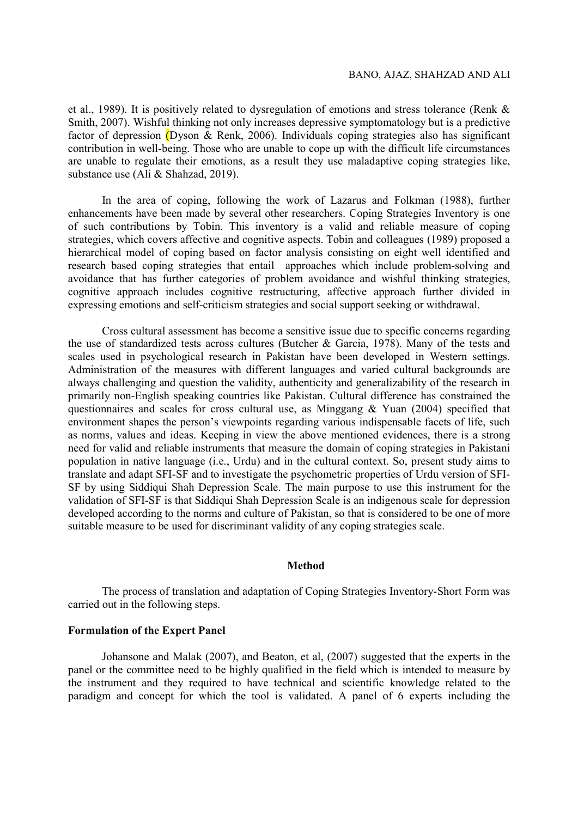et al., 1989). It is positively related to dysregulation of emotions and stress tolerance (Renk & Smith, 2007). Wishful thinking not only increases depressive symptomatology but is a predictive factor of depression (Dyson & Renk, 2006). Individuals coping strategies also has significant contribution in well-being. Those who are unable to cope up with the difficult life circumstances are unable to regulate their emotions, as a result they use maladaptive coping strategies like, substance use (Ali & Shahzad, 2019).

In the area of coping, following the work of Lazarus and Folkman (1988), further enhancements have been made by several other researchers. Coping Strategies Inventory is one of such contributions by Tobin. This inventory is a valid and reliable measure of coping strategies, which covers affective and cognitive aspects. Tobin and colleagues (1989) proposed a hierarchical model of coping based on factor analysis consisting on eight well identified and research based coping strategies that entail approaches which include problem-solving and avoidance that has further categories of problem avoidance and wishful thinking strategies, cognitive approach includes cognitive restructuring, affective approach further divided in expressing emotions and self-criticism strategies and social support seeking or withdrawal.

Cross cultural assessment has become a sensitive issue due to specific concerns regarding the use of standardized tests across cultures (Butcher & Garcia, 1978). Many of the tests and scales used in psychological research in Pakistan have been developed in Western settings. Administration of the measures with different languages and varied cultural backgrounds are always challenging and question the validity, authenticity and generalizability of the research in primarily non-English speaking countries like Pakistan. Cultural difference has constrained the questionnaires and scales for cross cultural use, as Minggang & Yuan (2004) specified that environment shapes the person's viewpoints regarding various indispensable facets of life, such as norms, values and ideas. Keeping in view the above mentioned evidences, there is a strong need for valid and reliable instruments that measure the domain of coping strategies in Pakistani population in native language (i.e., Urdu) and in the cultural context. So, present study aims to translate and adapt SFI-SF and to investigate the psychometric properties of Urdu version of SFI-SF by using Siddiqui Shah Depression Scale. The main purpose to use this instrument for the validation of SFI-SF is that Siddiqui Shah Depression Scale is an indigenous scale for depression developed according to the norms and culture of Pakistan, so that is considered to be one of more suitable measure to be used for discriminant validity of any coping strategies scale.

#### Method

The process of translation and adaptation of Coping Strategies Inventory-Short Form was carried out in the following steps.

#### Formulation of the Expert Panel

Johansone and Malak (2007), and Beaton, et al, (2007) suggested that the experts in the panel or the committee need to be highly qualified in the field which is intended to measure by the instrument and they required to have technical and scientific knowledge related to the paradigm and concept for which the tool is validated. A panel of 6 experts including the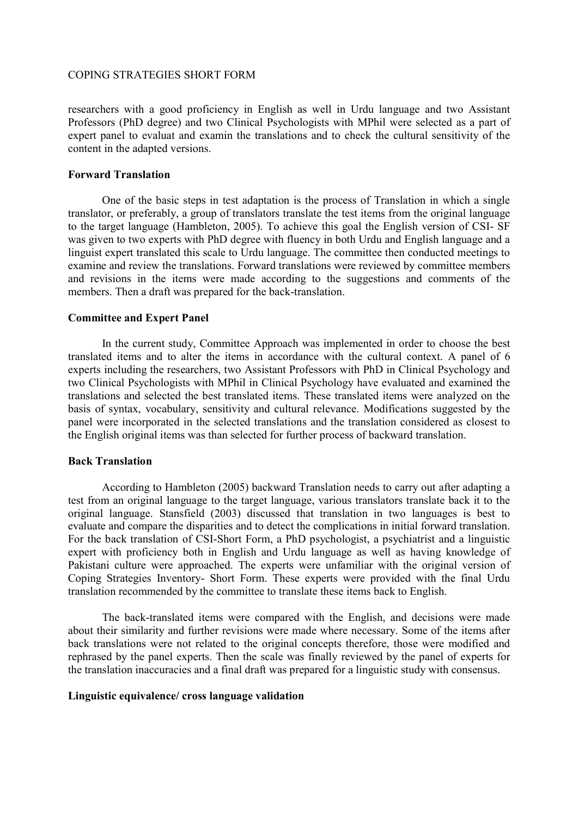researchers with a good proficiency in English as well in Urdu language and two Assistant Professors (PhD degree) and two Clinical Psychologists with MPhil were selected as a part of expert panel to evaluat and examin the translations and to check the cultural sensitivity of the content in the adapted versions.

### Forward Translation

One of the basic steps in test adaptation is the process of Translation in which a single translator, or preferably, a group of translators translate the test items from the original language to the target language (Hambleton, 2005). To achieve this goal the English version of CSI- SF was given to two experts with PhD degree with fluency in both Urdu and English language and a linguist expert translated this scale to Urdu language. The committee then conducted meetings to examine and review the translations. Forward translations were reviewed by committee members and revisions in the items were made according to the suggestions and comments of the members. Then a draft was prepared for the back-translation.

## Committee and Expert Panel

In the current study, Committee Approach was implemented in order to choose the best translated items and to alter the items in accordance with the cultural context. A panel of 6 experts including the researchers, two Assistant Professors with PhD in Clinical Psychology and two Clinical Psychologists with MPhil in Clinical Psychology have evaluated and examined the translations and selected the best translated items. These translated items were analyzed on the basis of syntax, vocabulary, sensitivity and cultural relevance. Modifications suggested by the panel were incorporated in the selected translations and the translation considered as closest to the English original items was than selected for further process of backward translation.

# Back Translation

According to Hambleton (2005) backward Translation needs to carry out after adapting a test from an original language to the target language, various translators translate back it to the original language. Stansfield (2003) discussed that translation in two languages is best to evaluate and compare the disparities and to detect the complications in initial forward translation. For the back translation of CSI-Short Form, a PhD psychologist, a psychiatrist and a linguistic expert with proficiency both in English and Urdu language as well as having knowledge of Pakistani culture were approached. The experts were unfamiliar with the original version of Coping Strategies Inventory- Short Form. These experts were provided with the final Urdu translation recommended by the committee to translate these items back to English.

The back-translated items were compared with the English, and decisions were made about their similarity and further revisions were made where necessary. Some of the items after back translations were not related to the original concepts therefore, those were modified and rephrased by the panel experts. Then the scale was finally reviewed by the panel of experts for the translation inaccuracies and a final draft was prepared for a linguistic study with consensus.

## Linguistic equivalence/ cross language validation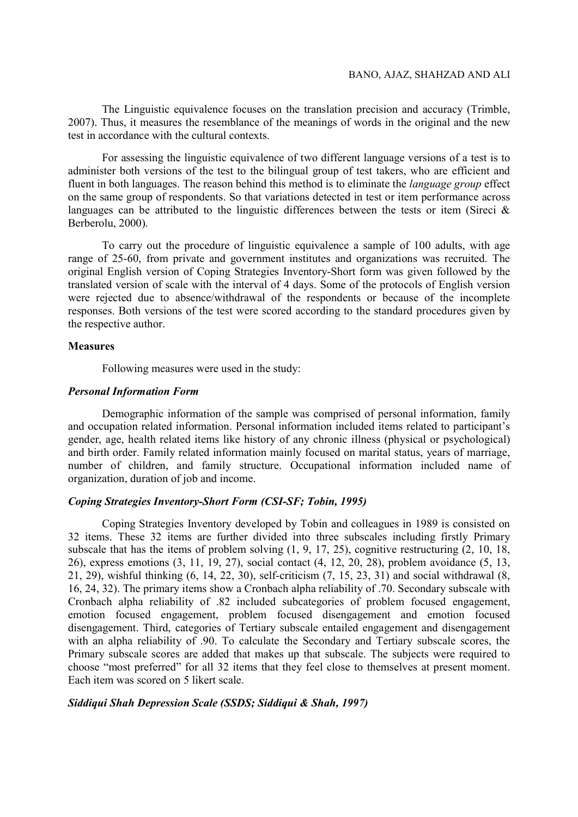The Linguistic equivalence focuses on the translation precision and accuracy (Trimble, 2007). Thus, it measures the resemblance of the meanings of words in the original and the new test in accordance with the cultural contexts.

For assessing the linguistic equivalence of two different language versions of a test is to administer both versions of the test to the bilingual group of test takers, who are efficient and fluent in both languages. The reason behind this method is to eliminate the *language group* effect on the same group of respondents. So that variations detected in test or item performance across languages can be attributed to the linguistic differences between the tests or item (Sireci & Berberolu, 2000).

To carry out the procedure of linguistic equivalence a sample of 100 adults, with age range of 25-60, from private and government institutes and organizations was recruited. The original English version of Coping Strategies Inventory-Short form was given followed by the translated version of scale with the interval of 4 days. Some of the protocols of English version were rejected due to absence/withdrawal of the respondents or because of the incomplete responses. Both versions of the test were scored according to the standard procedures given by the respective author.

### **Measures**

Following measures were used in the study:

#### Personal Information Form

Demographic information of the sample was comprised of personal information, family and occupation related information. Personal information included items related to participant's gender, age, health related items like history of any chronic illness (physical or psychological) and birth order. Family related information mainly focused on marital status, years of marriage, number of children, and family structure. Occupational information included name of organization, duration of job and income.

# Coping Strategies Inventory-Short Form (CSI-SF; Tobin, 1995)

Coping Strategies Inventory developed by Tobin and colleagues in 1989 is consisted on 32 items. These 32 items are further divided into three subscales including firstly Primary subscale that has the items of problem solving (1, 9, 17, 25), cognitive restructuring (2, 10, 18, 26), express emotions (3, 11, 19, 27), social contact (4, 12, 20, 28), problem avoidance (5, 13, 21, 29), wishful thinking (6, 14, 22, 30), self-criticism (7, 15, 23, 31) and social withdrawal (8, 16, 24, 32). The primary items show a Cronbach alpha reliability of .70. Secondary subscale with Cronbach alpha reliability of .82 included subcategories of problem focused engagement, emotion focused engagement, problem focused disengagement and emotion focused disengagement. Third, categories of Tertiary subscale entailed engagement and disengagement with an alpha reliability of .90. To calculate the Secondary and Tertiary subscale scores, the Primary subscale scores are added that makes up that subscale. The subjects were required to choose "most preferred" for all 32 items that they feel close to themselves at present moment. Each item was scored on 5 likert scale.

#### Siddiqui Shah Depression Scale (SSDS; Siddiqui & Shah, 1997)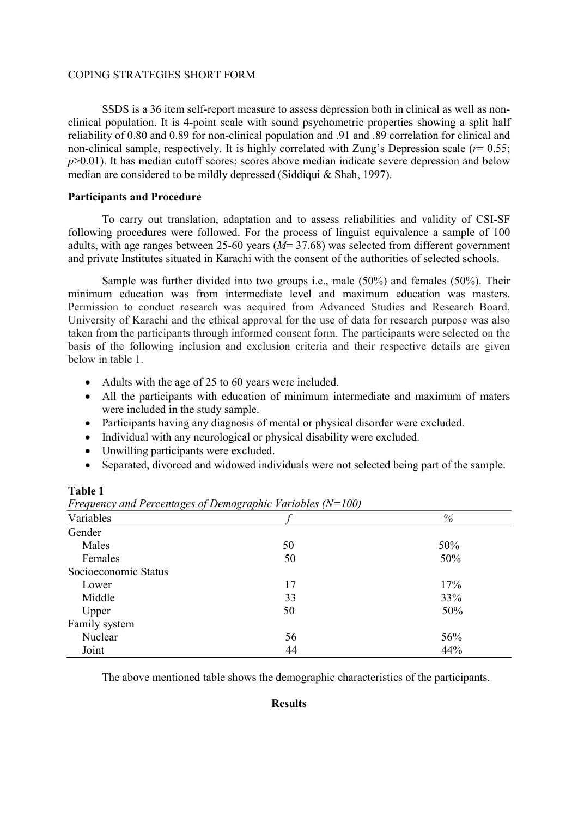SSDS is a 36 item self-report measure to assess depression both in clinical as well as nonclinical population. It is 4-point scale with sound psychometric properties showing a split half reliability of 0.80 and 0.89 for non-clinical population and .91 and .89 correlation for clinical and non-clinical sample, respectively. It is highly correlated with Zung's Depression scale ( $r= 0.55$ ;  $p > 0.01$ ). It has median cutoff scores; scores above median indicate severe depression and below median are considered to be mildly depressed (Siddiqui & Shah, 1997).

# Participants and Procedure

To carry out translation, adaptation and to assess reliabilities and validity of CSI-SF following procedures were followed. For the process of linguist equivalence a sample of 100 adults, with age ranges between 25-60 years ( $M= 37.68$ ) was selected from different government and private Institutes situated in Karachi with the consent of the authorities of selected schools.

Sample was further divided into two groups i.e., male (50%) and females (50%). Their minimum education was from intermediate level and maximum education was masters. Permission to conduct research was acquired from Advanced Studies and Research Board, University of Karachi and the ethical approval for the use of data for research purpose was also taken from the participants through informed consent form. The participants were selected on the basis of the following inclusion and exclusion criteria and their respective details are given below in table 1.

- Adults with the age of 25 to 60 years were included.
- All the participants with education of minimum intermediate and maximum of maters were included in the study sample.
- Participants having any diagnosis of mental or physical disorder were excluded.
- Individual with any neurological or physical disability were excluded.
- Unwilling participants were excluded.
- Separated, divorced and widowed individuals were not selected being part of the sample.

### Table 1

| $\cdots$ . $\cdots$ $\cdots$ $\cdots$ $\cdots$ $\cdots$ $\cdots$ $\cdots$ $\cdots$ $\cdots$ $\cdots$<br>$\sim$ $\sim$ $\prime$ |    |     |  |
|--------------------------------------------------------------------------------------------------------------------------------|----|-----|--|
| Variables                                                                                                                      |    | %   |  |
| Gender                                                                                                                         |    |     |  |
| Males                                                                                                                          | 50 | 50% |  |
| Females                                                                                                                        | 50 | 50% |  |
| Socioeconomic Status                                                                                                           |    |     |  |
| Lower                                                                                                                          | 17 | 17% |  |
| Middle                                                                                                                         | 33 | 33% |  |
| Upper                                                                                                                          | 50 | 50% |  |
| Family system                                                                                                                  |    |     |  |
| Nuclear                                                                                                                        | 56 | 56% |  |
| Joint                                                                                                                          | 44 | 44% |  |
|                                                                                                                                |    |     |  |

Frequency and Percentages of Demographic Variables  $(N=100)$ 

The above mentioned table shows the demographic characteristics of the participants.

## Results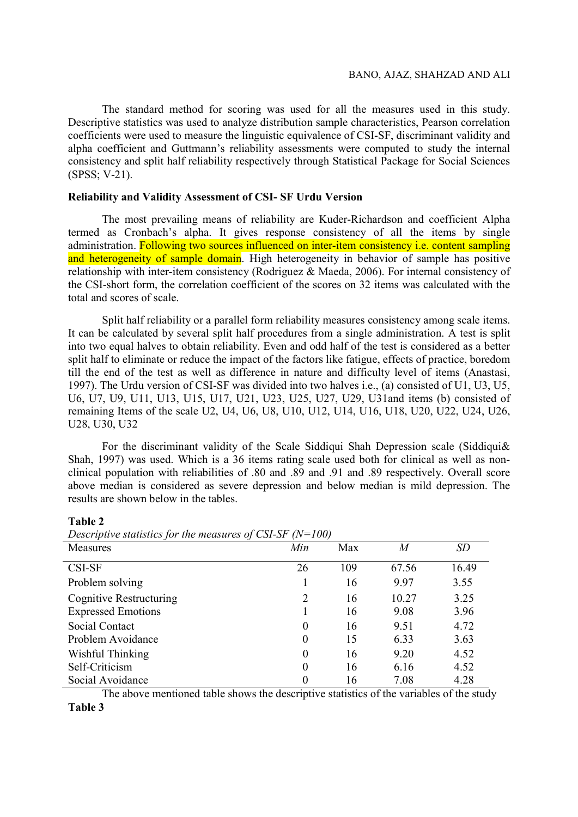The standard method for scoring was used for all the measures used in this study. Descriptive statistics was used to analyze distribution sample characteristics, Pearson correlation coefficients were used to measure the linguistic equivalence of CSI-SF, discriminant validity and alpha coefficient and Guttmann's reliability assessments were computed to study the internal consistency and split half reliability respectively through Statistical Package for Social Sciences (SPSS; V-21).

# Reliability and Validity Assessment of CSI- SF Urdu Version

The most prevailing means of reliability are Kuder-Richardson and coefficient Alpha termed as Cronbach's alpha. It gives response consistency of all the items by single administration. Following two sources influenced on inter-item consistency *i.e.* content sampling and heterogeneity of sample domain. High heterogeneity in behavior of sample has positive relationship with inter-item consistency (Rodriguez & Maeda, 2006). For internal consistency of the CSI-short form, the correlation coefficient of the scores on 32 items was calculated with the total and scores of scale.

Split half reliability or a parallel form reliability measures consistency among scale items. It can be calculated by several split half procedures from a single administration. A test is split into two equal halves to obtain reliability. Even and odd half of the test is considered as a better split half to eliminate or reduce the impact of the factors like fatigue, effects of practice, boredom till the end of the test as well as difference in nature and difficulty level of items (Anastasi, 1997). The Urdu version of CSI-SF was divided into two halves i.e., (a) consisted of U1, U3, U5, U6, U7, U9, U11, U13, U15, U17, U21, U23, U25, U27, U29, U31and items (b) consisted of remaining Items of the scale U2, U4, U6, U8, U10, U12, U14, U16, U18, U20, U22, U24, U26, U28, U30, U32

For the discriminant validity of the Scale Siddiqui Shah Depression scale (Siddiqui& Shah, 1997) was used. Which is a 36 items rating scale used both for clinical as well as nonclinical population with reliabilities of .80 and .89 and .91 and .89 respectively. Overall score above median is considered as severe depression and below median is mild depression. The results are shown below in the tables.

Table 2

| Descriptive statistics for the ineasures of CST-ST $(1)$ TOO) |                  |     |       |           |
|---------------------------------------------------------------|------------------|-----|-------|-----------|
| Measures                                                      | Min              | Max | M     | <b>SD</b> |
| CSI-SF                                                        | 26               | 109 | 67.56 | 16.49     |
| Problem solving                                               |                  | 16  | 9.97  | 3.55      |
| <b>Cognitive Restructuring</b>                                | $\overline{2}$   | 16  | 10.27 | 3.25      |
| <b>Expressed Emotions</b>                                     |                  | 16  | 9.08  | 3.96      |
| Social Contact                                                | $\overline{0}$   | 16  | 9.51  | 4.72      |
| Problem Avoidance                                             | $\boldsymbol{0}$ | 15  | 6.33  | 3.63      |
| Wishful Thinking                                              | $\overline{0}$   | 16  | 9.20  | 4.52      |
| Self-Criticism                                                | $\overline{0}$   | 16  | 6.16  | 4.52      |
| Social Avoidance                                              | 0                | 16  | 7.08  | 4.28      |

Descriptive statistics for the measures of CSL-SF  $(N=100)$ 

The above mentioned table shows the descriptive statistics of the variables of the study

Table 3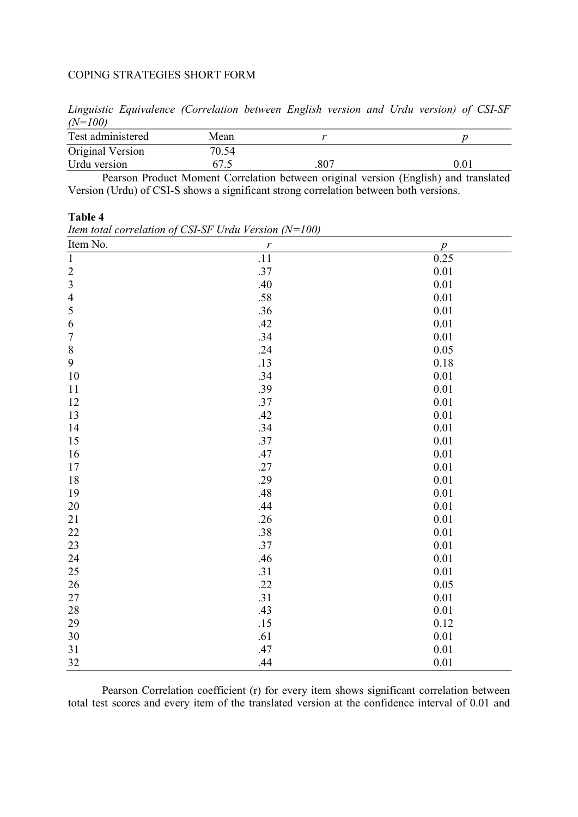Linguistic Equivalence (Correlation between English version and Urdu version) of CSI-SF  $(N=100)$ 

| Test administered | Mean  |     |          |
|-------------------|-------|-----|----------|
| Original Version  | 70.54 |     |          |
| Urdu version      | 67.5  | 807 | $0.01\,$ |
|                   |       |     |          |

Pearson Product Moment Correlation between original version (English) and translated Version (Urdu) of CSI-S shows a significant strong correlation between both versions.

## Table 4

| Item No.       | $\mathbf{r}$     | $\overline{p}$ |
|----------------|------------------|----------------|
| $\overline{1}$ | $\overline{.11}$ | 0.25           |
|                | .37              | $0.01\,$       |
| $\frac{2}{3}$  | .40              | $0.01\,$       |
| $\overline{4}$ | .58              | $0.01\,$       |
| 5              | .36              | $0.01\,$       |
| $\sqrt{6}$     | .42              | $0.01\,$       |
| $\overline{7}$ | .34              | 0.01           |
| $\,8$          | .24              | 0.05           |
| 9              | .13              | $0.18\,$       |
| $10\,$         | .34              | 0.01           |
| 11             | .39              | $0.01\,$       |
| 12             | .37              | $0.01\,$       |
| 13             | .42              | 0.01           |
| 14             | .34              | $0.01\,$       |
| 15             | .37              | 0.01           |
| 16             | .47              | $0.01\,$       |
| 17             | .27              | 0.01           |
| $18\,$         | .29              | 0.01           |
| 19             | .48              | 0.01           |
| $20\,$         | .44              | $0.01\,$       |
| $21\,$         | .26              | $0.01\,$       |
| $22\,$         | .38              | 0.01           |
| 23             | .37              | $0.01\,$       |
| 24             | .46              | $0.01\,$       |
| 25             | .31              | 0.01           |
| $26\,$         | .22              | 0.05           |
| $27\,$         | .31              | 0.01           |
| $28\,$         | .43              | $0.01\,$       |
| 29             | .15              | 0.12           |
| $30\,$         | .61              | 0.01           |
| 31             | .47              | 0.01           |
| 32             | .44              | 0.01           |

Item total correlation of CSI-SF Urdu Version  $(N=100)$ 

Pearson Correlation coefficient (r) for every item shows significant correlation between total test scores and every item of the translated version at the confidence interval of 0.01 and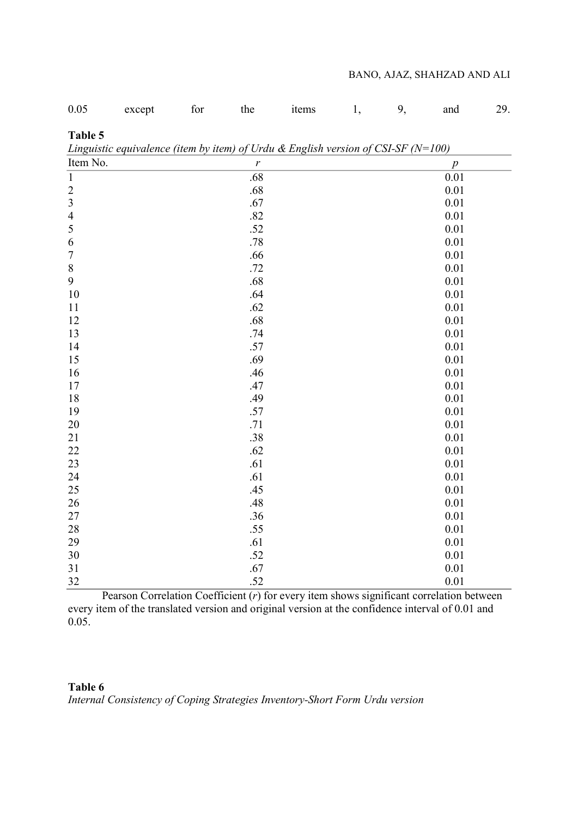# BANO, AJAZ, SHAHZAD AND ALI

| 0.05           | except                                                                                | for | the              | items | 1, | 9, | and              | 29. |
|----------------|---------------------------------------------------------------------------------------|-----|------------------|-------|----|----|------------------|-----|
| Table 5        | Linguistic equivalence (item by item) of Urdu & English version of CSI-SF ( $N=100$ ) |     |                  |       |    |    |                  |     |
| Item No.       |                                                                                       |     | $\boldsymbol{r}$ |       |    |    | $\boldsymbol{p}$ |     |
| $\overline{1}$ |                                                                                       |     | .68              |       |    |    | 0.01             |     |
| $\overline{c}$ |                                                                                       |     | .68              |       |    |    | 0.01             |     |
| $\overline{3}$ |                                                                                       |     | .67              |       |    |    | 0.01             |     |
| $\overline{4}$ |                                                                                       |     | .82              |       |    |    | 0.01             |     |
| 5              |                                                                                       |     | .52              |       |    |    | 0.01             |     |
| 6              |                                                                                       |     | .78              |       |    |    | 0.01             |     |
| $\sqrt{ }$     |                                                                                       |     | .66              |       |    |    | 0.01             |     |
| $\,$ $\,$      |                                                                                       |     | .72              |       |    |    | $0.01\,$         |     |
| 9              |                                                                                       |     | .68              |       |    |    | $0.01\,$         |     |
| 10             |                                                                                       |     | .64              |       |    |    | 0.01             |     |
| 11             |                                                                                       |     | .62              |       |    |    | 0.01             |     |
| 12             |                                                                                       |     | .68              |       |    |    | 0.01             |     |
| 13             |                                                                                       |     | .74              |       |    |    | 0.01             |     |
| 14             |                                                                                       |     | .57              |       |    |    | 0.01             |     |
| 15             |                                                                                       |     | .69              |       |    |    | 0.01             |     |
| 16             |                                                                                       |     | .46              |       |    |    | 0.01             |     |
| 17             |                                                                                       |     | .47              |       |    |    | 0.01             |     |
| 18             |                                                                                       |     | .49              |       |    |    | 0.01             |     |
| 19             |                                                                                       |     | .57              |       |    |    | 0.01             |     |
| 20             |                                                                                       |     | .71              |       |    |    | 0.01             |     |
| 21             |                                                                                       |     | .38              |       |    |    | 0.01             |     |
| 22             |                                                                                       |     | .62              |       |    |    | 0.01             |     |
| 23             |                                                                                       |     | .61              |       |    |    | 0.01             |     |
| 24             |                                                                                       |     | .61              |       |    |    | 0.01             |     |
| 25             |                                                                                       |     | .45              |       |    |    | 0.01             |     |
| 26             |                                                                                       |     | .48              |       |    |    | 0.01             |     |
| 27             |                                                                                       |     | .36              |       |    |    | 0.01             |     |
| 28             |                                                                                       |     | .55              |       |    |    | 0.01             |     |
| 29             |                                                                                       |     | .61              |       |    |    | 0.01             |     |
| 30             |                                                                                       |     | .52              |       |    |    | $0.01\,$         |     |
| 31             |                                                                                       |     | .67              |       |    |    | 0.01             |     |
| 32             |                                                                                       |     | .52              |       |    |    | 0.01             |     |

Pearson Correlation Coefficient  $(r)$  for every item shows significant correlation between every item of the translated version and original version at the confidence interval of 0.01 and 0.05.

# Table 6

Internal Consistency of Coping Strategies Inventory-Short Form Urdu version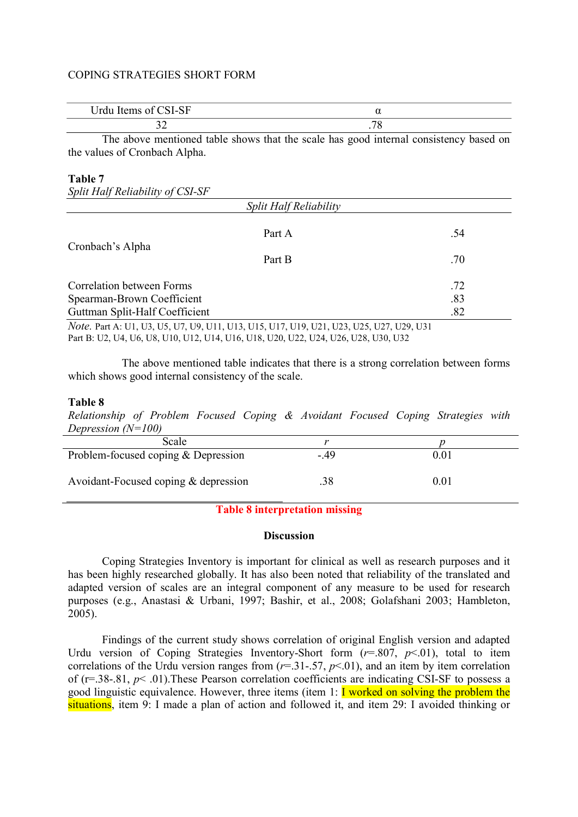| CCT<br>T<br>- 140<br><b>LOI-DL</b><br>UIUU<br>1001110<br>$\mathbf{u}$ | w |  |
|-----------------------------------------------------------------------|---|--|
|                                                                       | - |  |

 The above mentioned table shows that the scale has good internal consistency based on the values of Cronbach Alpha.

#### Table 7

| 1 avit 7<br>Split Half Reliability of CSI-SF |                        |     |
|----------------------------------------------|------------------------|-----|
|                                              | Split Half Reliability |     |
|                                              | Part A                 | .54 |
| Cronbach's Alpha                             | Part B                 | .70 |
| Correlation between Forms                    |                        | .72 |
| Spearman-Brown Coefficient                   |                        | .83 |
| Guttman Split-Half Coefficient               |                        | .82 |

Note. Part A: U1, U3, U5, U7, U9, U11, U13, U15, U17, U19, U21, U23, U25, U27, U29, U31 Part B: U2, U4, U6, U8, U10, U12, U14, U16, U18, U20, U22, U24, U26, U28, U30, U32

The above mentioned table indicates that there is a strong correlation between forms which shows good internal consistency of the scale.

#### Table 8

Relationship of Problem Focused Coping & Avoidant Focused Coping Strategies with Depression  $(N=100)$ 

| Scale                                |       |          |
|--------------------------------------|-------|----------|
| Problem-focused coping & Depression  | $-49$ | $0.01\,$ |
| Avoidant-Focused coping & depression |       | 0.01     |

# Table 8 interpretation missing

### **Discussion**

Coping Strategies Inventory is important for clinical as well as research purposes and it has been highly researched globally. It has also been noted that reliability of the translated and adapted version of scales are an integral component of any measure to be used for research purposes (e.g., Anastasi & Urbani, 1997; Bashir, et al., 2008; Golafshani 2003; Hambleton, 2005).

Findings of the current study shows correlation of original English version and adapted Urdu version of Coping Strategies Inventory-Short form  $(r=.807, p<.01)$ , total to item correlations of the Urdu version ranges from  $(r=31-.57, p<.01)$ , and an item by item correlation of ( $r=38-81$ ,  $p< .01$ ). These Pearson correlation coefficients are indicating CSI-SF to possess a good linguistic equivalence. However, three items (item 1:  $\Gamma$  worked on solving the problem the situations, item 9: I made a plan of action and followed it, and item 29: I avoided thinking or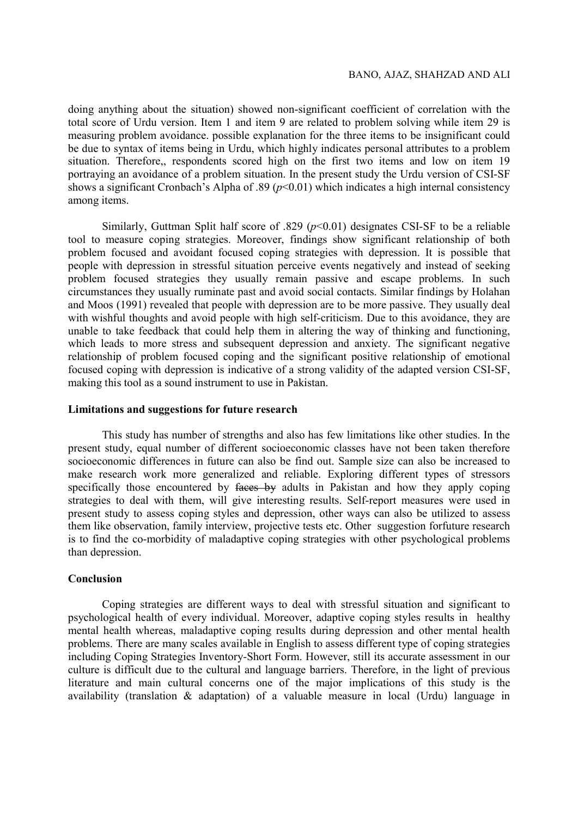doing anything about the situation) showed non-significant coefficient of correlation with the total score of Urdu version. Item 1 and item 9 are related to problem solving while item 29 is measuring problem avoidance. possible explanation for the three items to be insignificant could be due to syntax of items being in Urdu, which highly indicates personal attributes to a problem situation. Therefore,, respondents scored high on the first two items and low on item 19 portraying an avoidance of a problem situation. In the present study the Urdu version of CSI-SF shows a significant Cronbach's Alpha of .89 ( $p$ <0.01) which indicates a high internal consistency among items.

Similarly, Guttman Split half score of .829 ( $p<0.01$ ) designates CSI-SF to be a reliable tool to measure coping strategies. Moreover, findings show significant relationship of both problem focused and avoidant focused coping strategies with depression. It is possible that people with depression in stressful situation perceive events negatively and instead of seeking problem focused strategies they usually remain passive and escape problems. In such circumstances they usually ruminate past and avoid social contacts. Similar findings by Holahan and Moos (1991) revealed that people with depression are to be more passive. They usually deal with wishful thoughts and avoid people with high self-criticism. Due to this avoidance, they are unable to take feedback that could help them in altering the way of thinking and functioning, which leads to more stress and subsequent depression and anxiety. The significant negative relationship of problem focused coping and the significant positive relationship of emotional focused coping with depression is indicative of a strong validity of the adapted version CSI-SF, making this tool as a sound instrument to use in Pakistan.

#### Limitations and suggestions for future research

This study has number of strengths and also has few limitations like other studies. In the present study, equal number of different socioeconomic classes have not been taken therefore socioeconomic differences in future can also be find out. Sample size can also be increased to make research work more generalized and reliable. Exploring different types of stressors specifically those encountered by  $f_{\text{a}}$  adults in Pakistan and how they apply coping strategies to deal with them, will give interesting results. Self-report measures were used in present study to assess coping styles and depression, other ways can also be utilized to assess them like observation, family interview, projective tests etc. Other suggestion forfuture research is to find the co-morbidity of maladaptive coping strategies with other psychological problems than depression.

# Conclusion

Coping strategies are different ways to deal with stressful situation and significant to psychological health of every individual. Moreover, adaptive coping styles results in healthy mental health whereas, maladaptive coping results during depression and other mental health problems. There are many scales available in English to assess different type of coping strategies including Coping Strategies Inventory-Short Form. However, still its accurate assessment in our culture is difficult due to the cultural and language barriers. Therefore, in the light of previous literature and main cultural concerns one of the major implications of this study is the availability (translation & adaptation) of a valuable measure in local (Urdu) language in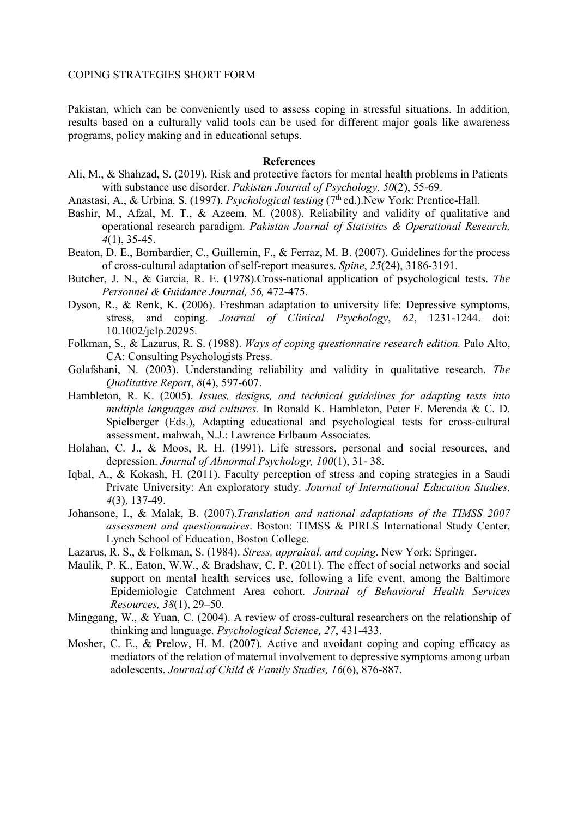Pakistan, which can be conveniently used to assess coping in stressful situations. In addition, results based on a culturally valid tools can be used for different major goals like awareness programs, policy making and in educational setups.

## References

- Ali, M., & Shahzad, S. (2019). Risk and protective factors for mental health problems in Patients with substance use disorder. *Pakistan Journal of Psychology*, 50(2), 55-69.
- Anastasi, A., & Urbina, S. (1997). *Psychological testing* (7<sup>th</sup> ed.). New York: Prentice-Hall.
- Bashir, M., Afzal, M. T., & Azeem, M. (2008). Reliability and validity of qualitative and operational research paradigm. Pakistan Journal of Statistics & Operational Research, 4(1), 35-45.
- Beaton, D. E., Bombardier, C., Guillemin, F., & Ferraz, M. B. (2007). Guidelines for the process of cross-cultural adaptation of self-report measures. Spine, 25(24), 3186-3191.
- Butcher, J. N., & Garcia, R. E. (1978).Cross-national application of psychological tests. The Personnel & Guidance Journal, 56, 472-475.
- Dyson, R., & Renk, K. (2006). Freshman adaptation to university life: Depressive symptoms, stress, and coping. Journal of Clinical Psychology, 62, 1231-1244. doi: 10.1002/jclp.20295.
- Folkman, S., & Lazarus, R. S. (1988). Ways of coping questionnaire research edition. Palo Alto, CA: Consulting Psychologists Press.
- Golafshani, N. (2003). Understanding reliability and validity in qualitative research. The Qualitative Report, 8(4), 597-607.
- Hambleton, R. K. (2005). Issues, designs, and technical guidelines for adapting tests into multiple languages and cultures. In Ronald K. Hambleton, Peter F. Merenda & C. D. Spielberger (Eds.), Adapting educational and psychological tests for cross-cultural assessment. mahwah, N.J.: Lawrence Erlbaum Associates.
- Holahan, C. J., & Moos, R. H. (1991). Life stressors, personal and social resources, and depression. Journal of Abnormal Psychology, 100(1), 31- 38.
- Iqbal, A., & Kokash, H. (2011). Faculty perception of stress and coping strategies in a Saudi Private University: An exploratory study. Journal of International Education Studies, 4(3), 137-49.
- Johansone, I., & Malak, B. (2007).Translation and national adaptations of the TIMSS 2007 assessment and questionnaires. Boston: TIMSS & PIRLS International Study Center, Lynch School of Education, Boston College.
- Lazarus, R. S., & Folkman, S. (1984). Stress, appraisal, and coping. New York: Springer.
- Maulik, P. K., Eaton, W.W., & Bradshaw, C. P. (2011). The effect of social networks and social support on mental health services use, following a life event, among the Baltimore Epidemiologic Catchment Area cohort. Journal of Behavioral Health Services Resources, 38(1), 29–50.
- Minggang, W., & Yuan, C. (2004). A review of cross-cultural researchers on the relationship of thinking and language. Psychological Science, 27, 431-433.
- Mosher, C. E., & Prelow, H. M. (2007). Active and avoidant coping and coping efficacy as mediators of the relation of maternal involvement to depressive symptoms among urban adolescents. Journal of Child & Family Studies, 16(6), 876-887.